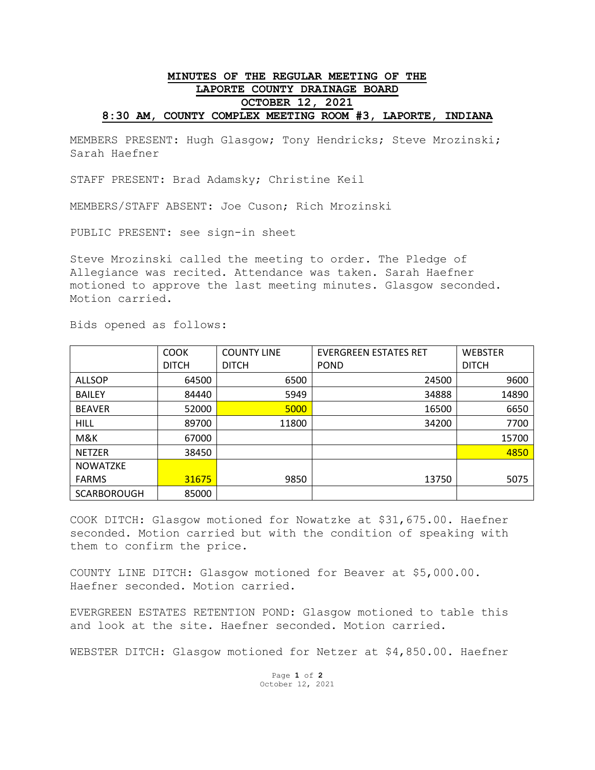## **MINUTES OF THE REGULAR MEETING OF THE LAPORTE COUNTY DRAINAGE BOARD OCTOBER 12, 2021 8:30 AM, COUNTY COMPLEX MEETING ROOM #3, LAPORTE, INDIANA**

MEMBERS PRESENT: Hugh Glasgow; Tony Hendricks; Steve Mrozinski; Sarah Haefner

STAFF PRESENT: Brad Adamsky; Christine Keil

MEMBERS/STAFF ABSENT: Joe Cuson; Rich Mrozinski

PUBLIC PRESENT: see sign-in sheet

Steve Mrozinski called the meeting to order. The Pledge of Allegiance was recited. Attendance was taken. Sarah Haefner motioned to approve the last meeting minutes. Glasgow seconded. Motion carried.

Bids opened as follows:

|                    | <b>COOK</b>  | <b>COUNTY LINE</b> | <b>EVERGREEN ESTATES RET</b> | <b>WEBSTER</b> |
|--------------------|--------------|--------------------|------------------------------|----------------|
|                    | <b>DITCH</b> | <b>DITCH</b>       | <b>POND</b>                  | <b>DITCH</b>   |
| <b>ALLSOP</b>      | 64500        | 6500               | 24500                        | 9600           |
| <b>BAILEY</b>      | 84440        | 5949               | 34888                        | 14890          |
| <b>BEAVER</b>      | 52000        | 5000               | 16500                        | 6650           |
| <b>HILL</b>        | 89700        | 11800              | 34200                        | 7700           |
| M&K                | 67000        |                    |                              | 15700          |
| <b>NETZER</b>      | 38450        |                    |                              | 4850           |
| <b>NOWATZKE</b>    |              |                    |                              |                |
| <b>FARMS</b>       | 31675        | 9850               | 13750                        | 5075           |
| <b>SCARBOROUGH</b> | 85000        |                    |                              |                |

COOK DITCH: Glasgow motioned for Nowatzke at \$31,675.00. Haefner seconded. Motion carried but with the condition of speaking with them to confirm the price.

COUNTY LINE DITCH: Glasgow motioned for Beaver at \$5,000.00. Haefner seconded. Motion carried.

EVERGREEN ESTATES RETENTION POND: Glasgow motioned to table this and look at the site. Haefner seconded. Motion carried.

WEBSTER DITCH: Glasgow motioned for Netzer at \$4,850.00. Haefner

Page **1** of **2** October 12, 2021